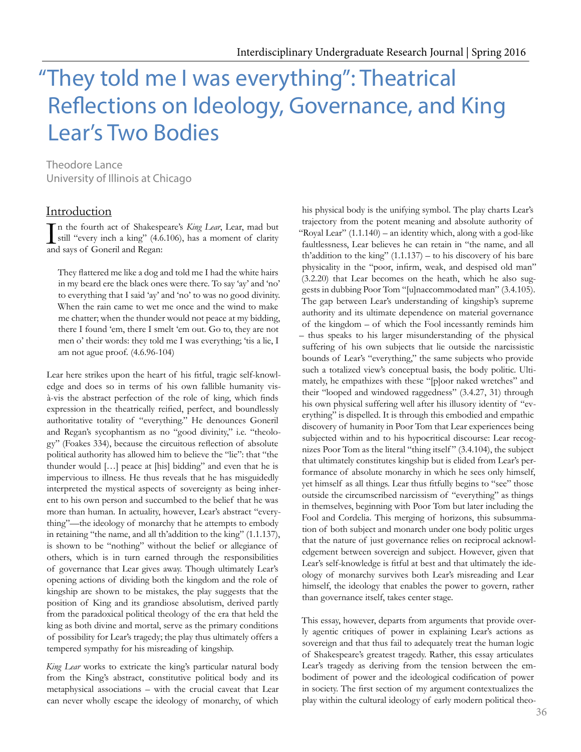# "They told me I was everything": Theatrical Refections on Ideology, Governance, and King Lear's Two Bodies

Theodore Lance University of Illinois at Chicago

## Introduction

In the fourth act of Shakespeare's *King Lear*, Lear, mad but still "every inch a king" (4.6.106), has a moment of clarity and savs of Goneril and Regan: still "every inch a king" (4.6.106), has a moment of clarity and says of Goneril and Regan:

They fattered me like a dog and told me I had the white hairs in my beard ere the black ones were there. To say 'ay' and 'no' to everything that I said 'ay' and 'no' to was no good divinity. When the rain came to wet me once and the wind to make me chatter; when the thunder would not peace at my bidding, there I found 'em, there I smelt 'em out. Go to, they are not men o' their words: they told me I was everything; 'tis a lie, I am not ague proof. (4.6.96-104)

Lear here strikes upon the heart of his ftful, tragic self-knowledge and does so in terms of his own fallible humanity visà-vis the abstract perfection of the role of king, which fnds expression in the theatrically reifed, perfect, and boundlessly authoritative totality of "everything." He denounces Goneril and Regan's sycophantism as no "good divinity," i.e. "theology" (Foakes 334), because the circuitous refection of absolute political authority has allowed him to believe the "lie": that "the thunder would […] peace at [his] bidding" and even that he is impervious to illness. He thus reveals that he has misguidedly interpreted the mystical aspects of sovereignty as being inherent to his own person and succumbed to the belief that he was more than human. In actuality, however, Lear's abstract "everything"—the ideology of monarchy that he attempts to embody in retaining "the name, and all th'addition to the king" (1.1.137), is shown to be "nothing" without the belief or allegiance of others, which is in turn earned through the responsibilities of governance that Lear gives away. Though ultimately Lear's opening actions of dividing both the kingdom and the role of kingship are shown to be mistakes, the play suggests that the position of King and its grandiose absolutism, derived partly from the paradoxical political theology of the era that held the king as both divine and mortal, serve as the primary conditions of possibility for Lear's tragedy; the play thus ultimately offers a tempered sympathy for his misreading of kingship.

*King Lear* works to extricate the king's particular natural body from the King's abstract, constitutive political body and its metaphysical associations – with the crucial caveat that Lear can never wholly escape the ideology of monarchy, of which

his physical body is the unifying symbol. The play charts Lear's trajectory from the potent meaning and absolute authority of "Royal Lear" (1.1.140) – an identity which, along with a god-like faultlessness, Lear believes he can retain in "the name, and all th'addition to the king"  $(1.1.137)$  – to his discovery of his bare physicality in the "poor, infrm, weak, and despised old man" (3.2.20) that Lear becomes on the heath, which he also suggests in dubbing Poor Tom "[u]naccommodated man" (3.4.105). The gap between Lear's understanding of kingship's supreme authority and its ultimate dependence on material governance of the kingdom – of which the Fool incessantly reminds him – thus speaks to his larger misunderstanding of the physical suffering of his own subjects that lie outside the narcissistic bounds of Lear's "everything," the same subjects who provide such a totalized view's conceptual basis, the body politic. Ultimately, he empathizes with these "[p]oor naked wretches" and their "looped and windowed raggedness" (3.4.27, 31) through his own physical suffering well after his illusory identity of "everything" is dispelled. It is through this embodied and empathic discovery of humanity in Poor Tom that Lear experiences being subjected within and to his hypocritical discourse: Lear recognizes Poor Tom as the literal "thing itself " (3.4.104), the subject that ultimately constitutes kingship but is elided from Lear's performance of absolute monarchy in which he sees only himself, yet himself as all things. Lear thus ftfully begins to "see" those outside the circumscribed narcissism of "everything" as things in themselves, beginning with Poor Tom but later including the Fool and Cordelia. This merging of horizons, this subsummation of both subject and monarch under one body politic urges that the nature of just governance relies on reciprocal acknowledgement between sovereign and subject. However, given that Lear's self-knowledge is ftful at best and that ultimately the ideology of monarchy survives both Lear's misreading and Lear himself, the ideology that enables the power to govern, rather than governance itself, takes center stage.

This essay, however, departs from arguments that provide overly agentic critiques of power in explaining Lear's actions as sovereign and that thus fail to adequately treat the human logic of Shakespeare's greatest tragedy. Rather, this essay articulates Lear's tragedy as deriving from the tension between the embodiment of power and the ideological codifcation of power in society. The frst section of my argument contextualizes the play within the cultural ideology of early modern political theo-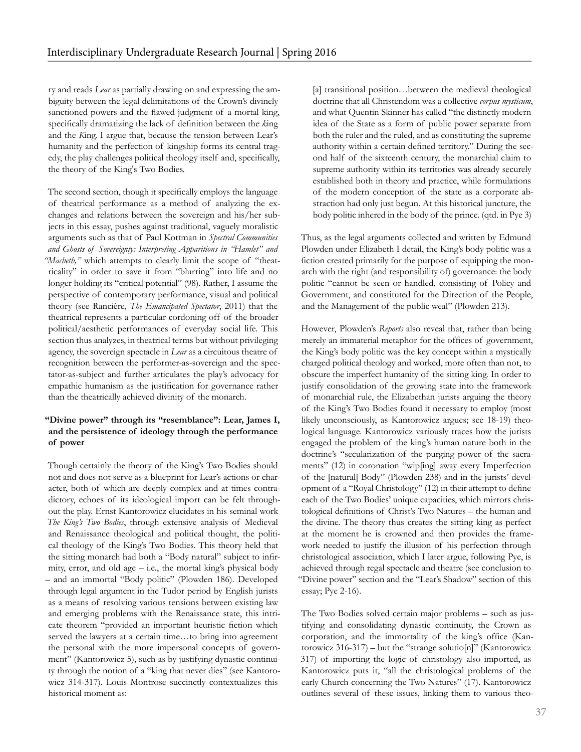ry and reads *Lear* as partially drawing on and expressing the ambiguity between the legal delimitations of the Crown's divinely sanctioned powers and the fawed judgment of a mortal king, specifcally dramatizing the lack of defnition between the *k*ing and the *K*ing. I argue that, because the tension between Lear's humanity and the perfection of kingship forms its central tragedy, the play challenges political theology itself and, specifcally, the theory of the King's Two Bodies.

The second section, though it specifcally employs the language of theatrical performance as a method of analyzing the exchanges and relations between the sovereign and his/her subjects in this essay, pushes against traditional, vaguely moralistic arguments such as that of Paul Kottman in *Spectral Communities and Ghosts of Sovereignty: Interpreting Apparitions in "Hamlet" and "Macbeth,"* which attempts to clearly limit the scope of "theatricality" in order to save it from "blurring" into life and no longer holding its "critical potential" (98). Rather, I assume the perspective of contemporary performance, visual and political theory (see Rancière, *The Emancipated Spectator*, 2011) that the theatrical represents a particular cordoning off of the broader political/aesthetic performances of everyday social life. This section thus analyzes, in theatrical terms but without privileging agency, the sovereign spectacle in *Lear* as a circuitous theatre of recognition between the performer-as-sovereign and the spectator-as-subject and further articulates the play's advocacy for empathic humanism as the justifcation for governance rather than the theatrically achieved divinity of the monarch.

## **"Divine power" through its "resemblance": Lear, James I, and the persistence of ideology through the performance of power**

Though certainly the theory of the King's Two Bodies should not and does not serve as a blueprint for Lear's actions or character, both of which are deeply complex and at times contradictory, echoes of its ideological import can be felt throughout the play. Ernst Kantorowicz elucidates in his seminal work *The King's Two Bodies*, through extensive analysis of Medieval and Renaissance theological and political thought, the political theology of the King's Two Bodies. This theory held that the sitting monarch had both a "Body natural" subject to infrmity, error, and old age – i.e., the mortal king's physical body – and an immortal "Body politic" (Plowden 186). Developed through legal argument in the Tudor period by English jurists as a means of resolving various tensions between existing law and emerging problems with the Renaissance state, this intricate theorem "provided an important heuristic fction which served the lawyers at a certain time...to bring into agreement the personal with the more impersonal concepts of government" (Kantorowicz 5), such as by justifying dynastic continuity through the notion of a "king that never dies" (see Kantorowicz 314-317). Louis Montrose succinctly contextualizes this historical moment as:

[a] transitional position...between the medieval theological doctrine that all Christendom was a collective *corpus mysticum*, and what Quentin Skinner has called "the distinctly modern idea of the State as a form of public power separate from both the ruler and the ruled, and as constituting the supreme authority within a certain defned territory." During the second half of the sixteenth century, the monarchial claim to supreme authority within its territories was already securely established both in theory and practice, while formulations of the modern conception of the state as a corporate abstraction had only just begun. At this historical juncture, the body politic inhered in the body of the prince. (qtd. in Pye 3)

Thus, as the legal arguments collected and written by Edmund Plowden under Elizabeth I detail, the King's body politic was a fction created primarily for the purpose of equipping the monarch with the right (and responsibility of) governance: the body politic "cannot be seen or handled, consisting of Policy and Government, and constituted for the Direction of the People, and the Management of the public weal" (Plowden 213).

However, Plowden's *Reports* also reveal that, rather than being merely an immaterial metaphor for the offices of government, the King's body politic was the key concept within a mystically charged political theology and worked, more often than not, to obscure the imperfect humanity of the sitting king. In order to justify consolidation of the growing state into the framework of monarchial rule, the Elizabethan jurists arguing the theory of the King's Two Bodies found it necessary to employ (most likely unconsciously, as Kantorowicz argues; see 18-19) theological language. Kantorowicz variously traces how the jurists engaged the problem of the king's human nature both in the doctrine's "secularization of the purging power of the sacraments" (12) in coronation "wip[ing] away every Imperfection of the [natural] Body" (Plowden 238) and in the jurists' development of a "Royal Christology" (12) in their attempt to defne each of the Two Bodies' unique capacities, which mirrors christological defnitions of Christ's Two Natures – the human and the divine. The theory thus creates the sitting king as perfect at the moment he is crowned and then provides the framework needed to justify the illusion of his perfection through christological association, which I later argue, following Pye, is achieved through regal spectacle and theatre (see conclusion to "Divine power" section and the "Lear's Shadow" section of this essay; Pye 2-16).

The Two Bodies solved certain major problems – such as justifying and consolidating dynastic continuity, the Crown as corporation, and the immortality of the king's office (Kantorowicz 316-317) – but the "strange solutio[n]" (Kantorowicz 317) of importing the logic of christology also imported, as Kantorowicz puts it, "all the christological problems of the early Church concerning the Two Natures" (17). Kantorowicz outlines several of these issues, linking them to various theo-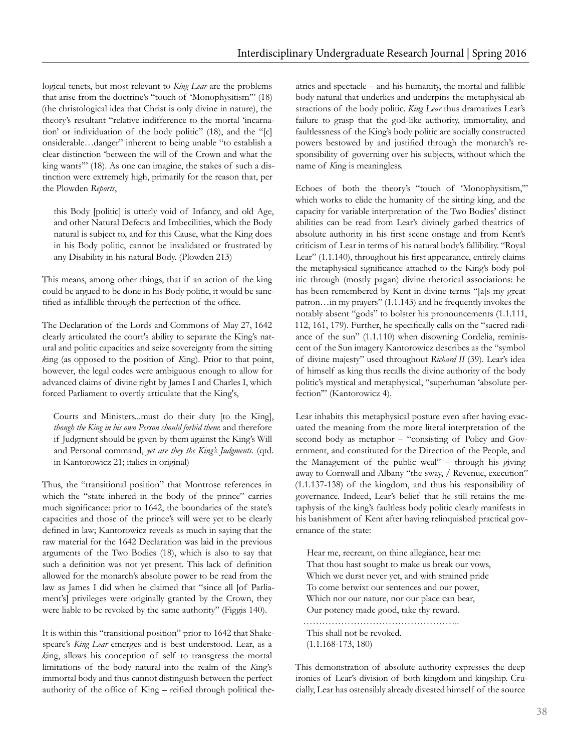logical tenets, but most relevant to *King Lear* are the problems that arise from the doctrine's "touch of 'Monophysitism'" (18) (the christological idea that Christ is only divine in nature), the theory's resultant "relative indifference to the mortal 'incarnation' or individuation of the body politic" (18), and the "[c] onsiderable…danger" inherent to being unable "to establish a clear distinction 'between the will of the Crown and what the king wants'" (18). As one can imagine, the stakes of such a distinction were extremely high, primarily for the reason that, per the Plowden *Reports*,

this Body [politic] is utterly void of Infancy, and old Age, and other Natural Defects and Imbecilities, which the Body natural is subject to, and for this Cause, what the King does in his Body politic, cannot be invalidated or frustrated by any Disability in his natural Body. (Plowden 213)

This means, among other things, that if an action of the king could be argued to be done in his Body politic, it would be sanctified as infallible through the perfection of the office.

The Declaration of the Lords and Commons of May 27, 1642 clearly articulated the court's ability to separate the King's natural and politic capacities and seize sovereignty from the sitting *k*ing (as opposed to the position of *K*ing). Prior to that point, however, the legal codes were ambiguous enough to allow for advanced claims of divine right by James I and Charles I, which forced Parliament to overtly articulate that the King's,

Courts and Ministers...must do their duty [to the King], *though the King in his own Person should forbid them*: and therefore if Judgment should be given by them against the King's Will and Personal command, *yet are they the King's Judgments.* (qtd. in Kantorowicz 21; italics in original)

Thus, the "transitional position" that Montrose references in which the "state inhered in the body of the prince" carries much signifcance: prior to 1642, the boundaries of the state's capacities and those of the prince's will were yet to be clearly defned in law; Kantorowicz reveals as much in saying that the raw material for the 1642 Declaration was laid in the previous arguments of the Two Bodies (18), which is also to say that such a defnition was not yet present. This lack of defnition allowed for the monarch's absolute power to be read from the law as James I did when he claimed that "since all [of Parliament's] privileges were originally granted by the Crown, they were liable to be revoked by the same authority" (Figgis 140).

It is within this "transitional position" prior to 1642 that Shakespeare's *King Lear* emerges and is best understood. Lear, as a *k*ing, allows his conception of self to transgress the mortal limitations of the body natural into the realm of the *K*ing's immortal body and thus cannot distinguish between the perfect authority of the offce of King – reifed through political theatrics and spectacle – and his humanity, the mortal and fallible body natural that underlies and underpins the metaphysical abstractions of the body politic. *King Lear* thus dramatizes Lear's failure to grasp that the god-like authority, immortality, and faultlessness of the King's body politic are socially constructed powers bestowed by and justifed through the monarch's responsibility of governing over his subjects, without which the name of *K*ing is meaningless.

Echoes of both the theory's "touch of 'Monophysitism,'" which works to elide the humanity of the sitting king, and the capacity for variable interpretation of the Two Bodies' distinct abilities can be read from Lear's divinely garbed theatrics of absolute authority in his frst scene onstage and from Kent's criticism of Lear in terms of his natural body's fallibility. "Royal Lear" (1.1.140), throughout his frst appearance, entirely claims the metaphysical signifcance attached to the King's body politic through (mostly pagan) divine rhetorical associations: he has been remembered by Kent in divine terms "[a]s my great patron…in my prayers" (1.1.143) and he frequently invokes the notably absent "gods" to bolster his pronouncements (1.1.111, 112, 161, 179). Further, he specifcally calls on the "sacred radiance of the sun" (1.1.110) when disowning Cordelia, reminiscent of the Sun imagery Kantorowicz describes as the "symbol of divine majesty" used throughout *Richard II* (39). Lear's idea of himself as king thus recalls the divine authority of the body politic's mystical and metaphysical, "superhuman 'absolute perfection'" (Kantorowicz 4).

Lear inhabits this metaphysical posture even after having evacuated the meaning from the more literal interpretation of the second body as metaphor – "consisting of Policy and Government, and constituted for the Direction of the People, and the Management of the public weal" – through his giving away to Cornwall and Albany "the sway, / Revenue, execution" (1.1.137-138) of the kingdom, and thus his responsibility of governance. Indeed, Lear's belief that he still retains the metaphysis of the king's faultless body politic clearly manifests in his banishment of Kent after having relinquished practical governance of the state:

Hear me, recreant, on thine allegiance, hear me: That thou hast sought to make us break our vows, Which we durst never yet, and with strained pride To come betwixt our sentences and our power, Which nor our nature, nor our place can bear, Our potency made good, take thy reward. …………………………………………..

This shall not be revoked. (1.1.168-173, 180)

This demonstration of absolute authority expresses the deep ironies of Lear's division of both kingdom and kingship. Crucially, Lear has ostensibly already divested himself of the source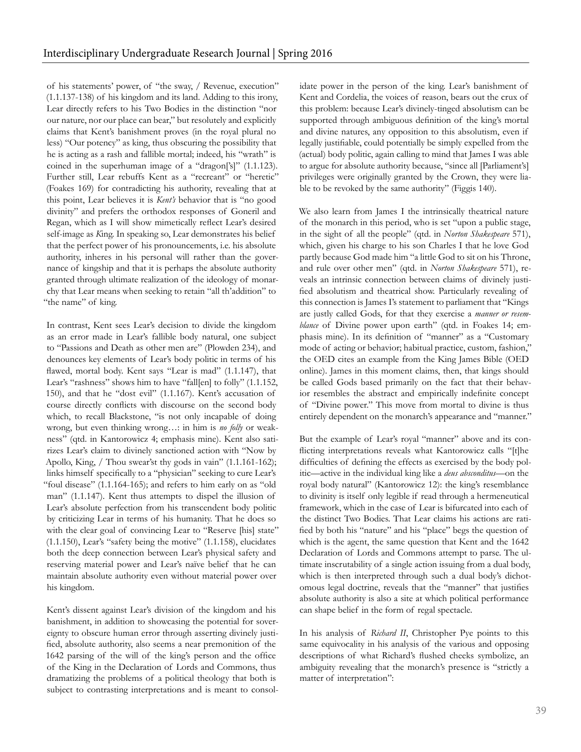of his statements' power, of "the sway, / Revenue, execution" (1.1.137-138) of his kingdom and its land. Adding to this irony, Lear directly refers to his Two Bodies in the distinction "nor our nature, nor our place can bear," but resolutely and explicitly claims that Kent's banishment proves (in the royal plural no less) "Our potency" as king, thus obscuring the possibility that he is acting as a rash and fallible mortal; indeed, his "wrath" is coined in the superhuman image of a "dragon['s]" (1.1.123). Further still, Lear rebuffs Kent as a "recreant" or "heretic" (Foakes 169) for contradicting his authority, revealing that at this point, Lear believes it is *Kent's* behavior that is "no good divinity" and prefers the orthodox responses of Goneril and Regan, which as I will show mimetically refect Lear's desired self-image as *K*ing. In speaking so, Lear demonstrates his belief that the perfect power of his pronouncements, i.e. his absolute authority, inheres in his personal will rather than the governance of kingship and that it is perhaps the absolute authority granted through ultimate realization of the ideology of monarchy that Lear means when seeking to retain "all th'addition" to "the name" of king.

In contrast, Kent sees Lear's decision to divide the kingdom as an error made in Lear's fallible body natural, one subject to "Passions and Death as other men are" (Plowden 234), and denounces key elements of Lear's body politic in terms of his fawed, mortal body. Kent says "Lear is mad" (1.1.147), that Lear's "rashness" shows him to have "fall[en] to folly" (1.1.152, 150), and that he "dost evil" (1.1.167). Kent's accusation of course directly conficts with discourse on the second body which, to recall Blackstone, "is not only incapable of doing wrong, but even thinking wrong…: in him is *no folly* or weakness" (qtd. in Kantorowicz 4; emphasis mine). Kent also satirizes Lear's claim to divinely sanctioned action with "Now by Apollo, King, / Thou swear'st thy gods in vain" (1.1.161-162); links himself specifcally to a "physician" seeking to cure Lear's "foul disease" (1.1.164-165); and refers to him early on as "old man" (1.1.147). Kent thus attempts to dispel the illusion of Lear's absolute perfection from his transcendent body politic by criticizing Lear in terms of his humanity. That he does so with the clear goal of convincing Lear to "Reserve [his] state" (1.1.150), Lear's "safety being the motive" (1.1.158), elucidates both the deep connection between Lear's physical safety and reserving material power and Lear's naïve belief that he can maintain absolute authority even without material power over his kingdom.

Kent's dissent against Lear's division of the kingdom and his banishment, in addition to showcasing the potential for sovereignty to obscure human error through asserting divinely justifed, absolute authority, also seems a near premonition of the 1642 parsing of the will of the king's person and the office of the King in the Declaration of Lords and Commons, thus dramatizing the problems of a political theology that both is subject to contrasting interpretations and is meant to consolidate power in the person of the king. Lear's banishment of Kent and Cordelia, the voices of reason, bears out the crux of this problem: because Lear's divinely-tinged absolutism can be supported through ambiguous defnition of the king's mortal and divine natures, any opposition to this absolutism, even if legally justifable, could potentially be simply expelled from the (actual) body politic, again calling to mind that James I was able to argue for absolute authority because, "since all [Parliament's] privileges were originally granted by the Crown, they were liable to be revoked by the same authority" (Figgis 140).

We also learn from James I the intrinsically theatrical nature of the monarch in this period, who is set "upon a public stage, in the sight of all the people" (qtd. in *Norton Shakespeare* 571), which, given his charge to his son Charles I that he love God partly because God made him "a little God to sit on his Throne, and rule over other men" (qtd. in *Norton Shakespeare* 571), reveals an intrinsic connection between claims of divinely justifed absolutism and theatrical show. Particularly revealing of this connection is James I's statement to parliament that "Kings are justly called Gods, for that they exercise a *manner or resemblance* of Divine power upon earth" (qtd. in Foakes 14; emphasis mine). In its defnition of "manner" as a "Customary mode of acting or behavior; habitual practice, custom, fashion," the OED cites an example from the King James Bible (OED online). James in this moment claims, then, that kings should be called Gods based primarily on the fact that their behavior resembles the abstract and empirically indefnite concept of "Divine power." This move from mortal to divine is thus entirely dependent on the monarch's appearance and "manner."

But the example of Lear's royal "manner" above and its conficting interpretations reveals what Kantorowicz calls "[t]he diffculties of defning the effects as exercised by the body politic—active in the individual king like a *deus absconditus*—on the royal body natural" (Kantorowicz 12): the king's resemblance to divinity is itself only legible if read through a hermeneutical framework, which in the case of Lear is bifurcated into each of the distinct Two Bodies. That Lear claims his actions are ratifed by both his "nature" and his "place" begs the question of which is the agent, the same question that Kent and the 1642 Declaration of Lords and Commons attempt to parse. The ultimate inscrutability of a single action issuing from a dual body, which is then interpreted through such a dual body's dichotomous legal doctrine, reveals that the "manner" that justifes absolute authority is also a site at which political performance can shape belief in the form of regal spectacle.

In his analysis of *Richard II*, Christopher Pye points to this same equivocality in his analysis of the various and opposing descriptions of what Richard's fushed cheeks symbolize, an ambiguity revealing that the monarch's presence is "strictly a matter of interpretation":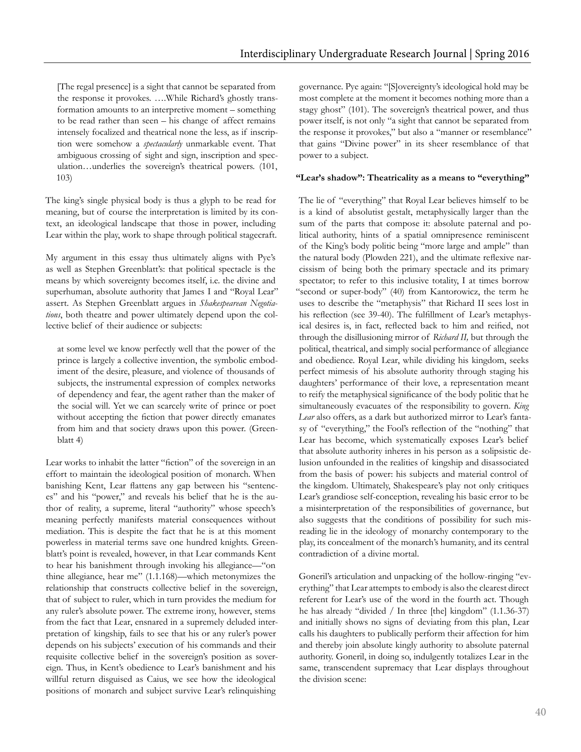[The regal presence] is a sight that cannot be separated from the response it provokes. ….While Richard's ghostly transformation amounts to an interpretive moment – something to be read rather than seen – his change of affect remains intensely focalized and theatrical none the less, as if inscription were somehow a *spectacularly* unmarkable event. That ambiguous crossing of sight and sign, inscription and speculation…underlies the sovereign's theatrical powers. (101, 103)

The king's single physical body is thus a glyph to be read for meaning, but of course the interpretation is limited by its context, an ideological landscape that those in power, including Lear within the play, work to shape through political stagecraft.

My argument in this essay thus ultimately aligns with Pye's as well as Stephen Greenblatt's: that political spectacle is the means by which sovereignty becomes itself, i.e. the divine and superhuman, absolute authority that James I and "Royal Lear" assert. As Stephen Greenblatt argues in *Shakespearean Negotiations*, both theatre and power ultimately depend upon the collective belief of their audience or subjects:

at some level we know perfectly well that the power of the prince is largely a collective invention, the symbolic embodiment of the desire, pleasure, and violence of thousands of subjects, the instrumental expression of complex networks of dependency and fear, the agent rather than the maker of the social will. Yet we can scarcely write of prince or poet without accepting the fiction that power directly emanates from him and that society draws upon this power. (Greenblatt 4)

Lear works to inhabit the latter "fiction" of the sovereign in an effort to maintain the ideological position of monarch. When banishing Kent, Lear fattens any gap between his "sentences" and his "power," and reveals his belief that he is the author of reality, a supreme, literal "authority" whose speech's meaning perfectly manifests material consequences without mediation. This is despite the fact that he is at this moment powerless in material terms save one hundred knights. Greenblatt's point is revealed, however, in that Lear commands Kent to hear his banishment through invoking his allegiance—"on thine allegiance, hear me" (1.1.168)—which metonymizes the relationship that constructs collective belief in the sovereign, that of subject to ruler, which in turn provides the medium for any ruler's absolute power. The extreme irony, however, stems from the fact that Lear, ensnared in a supremely deluded interpretation of kingship, fails to see that his or any ruler's power depends on his subjects' execution of his commands and their requisite collective belief in the sovereign's position as sovereign. Thus, in Kent's obedience to Lear's banishment and his willful return disguised as Caius, we see how the ideological positions of monarch and subject survive Lear's relinquishing

governance. Pye again: "[S]overeignty's ideological hold may be most complete at the moment it becomes nothing more than a stagy ghost" (101). The sovereign's theatrical power, and thus power itself, is not only "a sight that cannot be separated from the response it provokes," but also a "manner or resemblance" that gains "Divine power" in its sheer resemblance of that power to a subject.

#### **"Lear's shadow": Theatricality as a means to "everything"**

The lie of "everything" that Royal Lear believes himself to be is a kind of absolutist gestalt, metaphysically larger than the sum of the parts that compose it: absolute paternal and political authority, hints of a spatial omnipresence reminiscent of the King's body politic being "more large and ample" than the natural body (Plowden 221), and the ultimate refexive narcissism of being both the primary spectacle and its primary spectator; to refer to this inclusive totality, I at times borrow "second or super-body" (40) from Kantorowicz, the term he uses to describe the "metaphysis" that Richard II sees lost in his refection (see 39-40). The fulfllment of Lear's metaphysical desires is, in fact, refected back to him and reifed, not through the disillusioning mirror of *Richard II,* but through the political, theatrical, and simply social performance of allegiance and obedience. Royal Lear, while dividing his kingdom, seeks perfect mimesis of his absolute authority through staging his daughters' performance of their love, a representation meant to reify the metaphysical signifcance of the body politic that he simultaneously evacuates of the responsibility to govern. *King Lear* also offers, as a dark but authorized mirror to Lear's fantasy of "everything," the Fool's refection of the "nothing" that Lear has become, which systematically exposes Lear's belief that absolute authority inheres in his person as a solipsistic delusion unfounded in the realities of kingship and disassociated from the basis of power: his subjects and material control of the kingdom. Ultimately, Shakespeare's play not only critiques Lear's grandiose self-conception, revealing his basic error to be a misinterpretation of the responsibilities of governance, but also suggests that the conditions of possibility for such misreading lie in the ideology of monarchy contemporary to the play, its concealment of the monarch's humanity, and its central contradiction of a divine mortal.

Goneril's articulation and unpacking of the hollow-ringing "everything" that Lear attempts to embody is also the clearest direct referent for Lear's use of the word in the fourth act. Though he has already "divided / In three [the] kingdom" (1.1.36-37) and initially shows no signs of deviating from this plan, Lear calls his daughters to publically perform their affection for him and thereby join absolute kingly authority to absolute paternal authority. Goneril, in doing so, indulgently totalizes Lear in the same, transcendent supremacy that Lear displays throughout the division scene: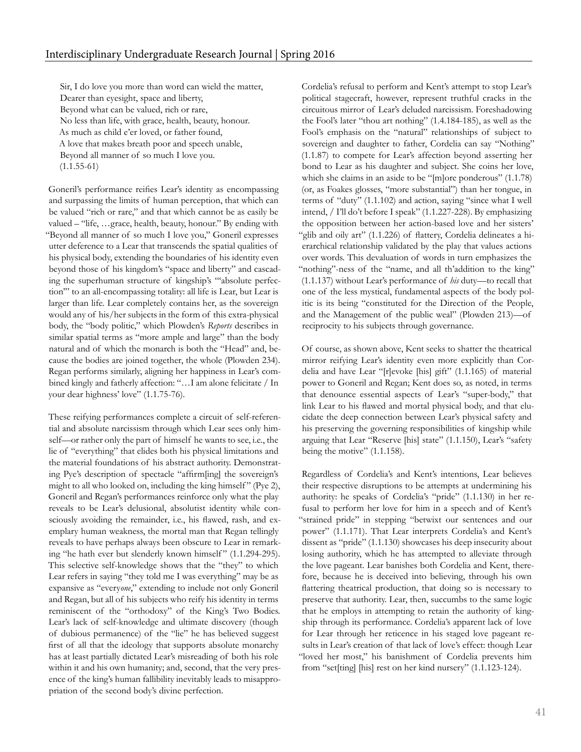Sir, I do love you more than word can wield the matter, Dearer than eyesight, space and liberty, Beyond what can be valued, rich or rare, No less than life, with grace, health, beauty, honour. As much as child e'er loved, or father found, A love that makes breath poor and speech unable, Beyond all manner of so much I love you.  $(1.1.55-61)$ 

Goneril's performance reifes Lear's identity as encompassing and surpassing the limits of human perception, that which can be valued "rich or rare," and that which cannot be as easily be valued – "life, …grace, health, beauty, honour." By ending with "Beyond all manner of so much I love you," Goneril expresses utter deference to a Lear that transcends the spatial qualities of his physical body, extending the boundaries of his identity even beyond those of his kingdom's "space and liberty" and cascading the superhuman structure of kingship's "'absolute perfection'" to an all-encompassing totality: all life is Lear, but Lear is larger than life. Lear completely contains her, as the sovereign would any of his/her subjects in the form of this extra-physical body, the "body politic," which Plowden's *Reports* describes in similar spatial terms as "more ample and large" than the body natural and of which the monarch is both the "Head" and, because the bodies are joined together, the whole (Plowden 234). Regan performs similarly, aligning her happiness in Lear's combined kingly and fatherly affection: "…I am alone felicitate / In your dear highness' love" (1.1.75-76).

These reifying performances complete a circuit of self-referential and absolute narcissism through which Lear sees only himself—or rather only the part of himself he wants to see, i.e., the lie of "everything" that elides both his physical limitations and the material foundations of his abstract authority. Demonstrating Pye's description of spectacle "affrm[ing] the sovereign's might to all who looked on, including the king himself" (Pye 2), Goneril and Regan's performances reinforce only what the play reveals to be Lear's delusional, absolutist identity while consciously avoiding the remainder, i.e., his fawed, rash, and exemplary human weakness, the mortal man that Regan tellingly reveals to have perhaps always been obscure to Lear in remarking "he hath ever but slenderly known himself" (1.1.294-295). This selective self-knowledge shows that the "they" to which Lear refers in saying "they told me I was everything" may be as expansive as "every*one*," extending to include not only Goneril and Regan, but all of his subjects who reify his identity in terms reminiscent of the "orthodoxy" of the King's Two Bodies. Lear's lack of self-knowledge and ultimate discovery (though of dubious permanence) of the "lie" he has believed suggest frst of all that the ideology that supports absolute monarchy has at least partially dictated Lear's misreading of both his role within it and his own humanity; and, second, that the very presence of the king's human fallibility inevitably leads to misappropriation of the second body's divine perfection.

Cordelia's refusal to perform and Kent's attempt to stop Lear's political stagecraft, however, represent truthful cracks in the circuitous mirror of Lear's deluded narcissism. Foreshadowing the Fool's later "thou art nothing" (1.4.184-185), as well as the Fool's emphasis on the "natural" relationships of subject to sovereign and daughter to father, Cordelia can say "Nothing" (1.1.87) to compete for Lear's affection beyond asserting her bond to Lear as his daughter and subject. She coins her love, which she claims in an aside to be "[m]ore ponderous" (1.1.78) (or, as Foakes glosses, "more substantial") than her tongue, in terms of "duty" (1.1.102) and action, saying "since what I well intend, / I'll do't before I speak" (1.1.227-228). By emphasizing the opposition between her action-based love and her sisters' "glib and oily art" (1.1.226) of flattery, Cordelia delineates a hierarchical relationship validated by the play that values actions over words. This devaluation of words in turn emphasizes the "nothing"-ness of the "name, and all th'addition to the king" (1.1.137) without Lear's performance of *his* duty—to recall that one of the less mystical, fundamental aspects of the body politic is its being "constituted for the Direction of the People, and the Management of the public weal" (Plowden 213)—of reciprocity to his subjects through governance.

Of course, as shown above, Kent seeks to shatter the theatrical mirror reifying Lear's identity even more explicitly than Cordelia and have Lear "[r]evoke [his] gift" (1.1.165) of material power to Goneril and Regan; Kent does so, as noted, in terms that denounce essential aspects of Lear's "super-body," that link Lear to his fawed and mortal physical body, and that elucidate the deep connection between Lear's physical safety and his preserving the governing responsibilities of kingship while arguing that Lear "Reserve [his] state" (1.1.150), Lear's "safety being the motive" (1.1.158).

Regardless of Cordelia's and Kent's intentions, Lear believes their respective disruptions to be attempts at undermining his authority: he speaks of Cordelia's "pride" (1.1.130) in her refusal to perform her love for him in a speech and of Kent's "strained pride" in stepping "betwixt our sentences and our power" (1.1.171). That Lear interprets Cordelia's and Kent's dissent as "pride" (1.1.130) showcases his deep insecurity about losing authority, which he has attempted to alleviate through the love pageant. Lear banishes both Cordelia and Kent, therefore, because he is deceived into believing, through his own fattering theatrical production, that doing so is necessary to preserve that authority. Lear, then, succumbs to the same logic that he employs in attempting to retain the authority of kingship through its performance. Cordelia's apparent lack of love for Lear through her reticence in his staged love pageant results in Lear's creation of that lack of love's effect: though Lear "loved her most," his banishment of Cordelia prevents him from "set[ting] [his] rest on her kind nursery" (1.1.123-124).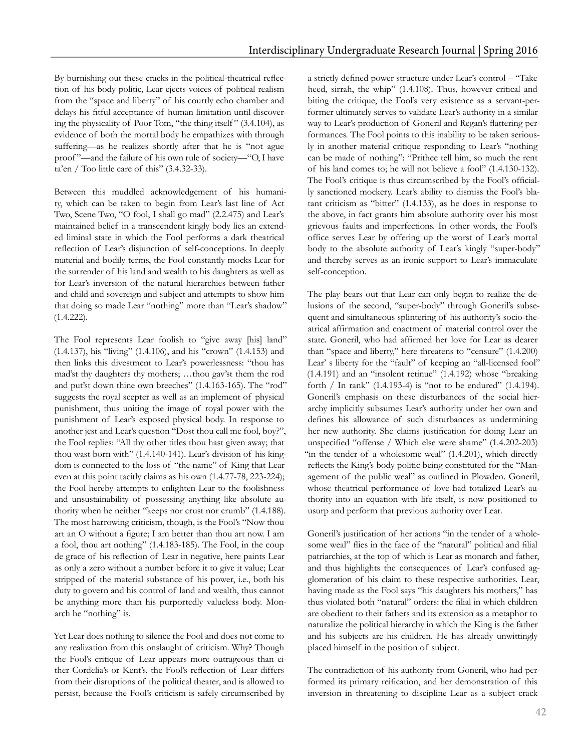By burnishing out these cracks in the political-theatrical refection of his body politic, Lear ejects voices of political realism from the "space and liberty" of his courtly echo chamber and delays his ftful acceptance of human limitation until discovering the physicality of Poor Tom, "the thing itself " (3.4.104), as evidence of both the mortal body he empathizes with through suffering—as he realizes shortly after that he is "not ague proof "—and the failure of his own rule of society—"O, I have ta'en / Too little care of this" (3.4.32-33).

Between this muddled acknowledgement of his humanity, which can be taken to begin from Lear's last line of Act Two, Scene Two, "O fool, I shall go mad" (2.2.475) and Lear's maintained belief in a transcendent kingly body lies an extended liminal state in which the Fool performs a dark theatrical refection of Lear's disjunction of self-conceptions. In deeply material and bodily terms, the Fool constantly mocks Lear for the surrender of his land and wealth to his daughters as well as for Lear's inversion of the natural hierarchies between father and child and sovereign and subject and attempts to show him that doing so made Lear "nothing" more than "Lear's shadow" (1.4.222).

The Fool represents Lear foolish to "give away [his] land" (1.4.137), his "living" (1.4.106), and his "crown" (1.4.153) and then links this divestment to Lear's powerlessness: "thou has mad'st thy daughters thy mothers; …thou gav'st them the rod and put'st down thine own breeches" (1.4.163-165). The "rod" suggests the royal scepter as well as an implement of physical punishment, thus uniting the image of royal power with the punishment of Lear's exposed physical body. In response to another jest and Lear's question "Dost thou call me fool, boy?", the Fool replies: "All thy other titles thou hast given away; that thou wast born with" (1.4.140-141). Lear's division of his kingdom is connected to the loss of "the name" of King that Lear even at this point tacitly claims as his own (1.4.77-78, 223-224); the Fool hereby attempts to enlighten Lear to the foolishness and unsustainability of possessing anything like absolute authority when he neither "keeps nor crust nor crumb" (1.4.188). The most harrowing criticism, though, is the Fool's "Now thou art an O without a fgure; I am better than thou art now. I am a fool, thou art nothing" (1.4.183-185). The Fool, in the coup de grace of his refection of Lear in negative, here paints Lear as only a zero without a number before it to give it value; Lear stripped of the material substance of his power, i.e., both his duty to govern and his control of land and wealth, thus cannot be anything more than his purportedly valueless body. Monarch he "nothing" is.

Yet Lear does nothing to silence the Fool and does not come to any realization from this onslaught of criticism. Why? Though the Fool's critique of Lear appears more outrageous than either Cordelia's or Kent's, the Fool's refection of Lear differs from their disruptions of the political theater, and is allowed to persist, because the Fool's criticism is safely circumscribed by

a strictly defned power structure under Lear's control – "Take heed, sirrah, the whip" (1.4.108). Thus, however critical and biting the critique, the Fool's very existence as a servant-performer ultimately serves to validate Lear's authority in a similar way to Lear's production of Goneril and Regan's fattering performances. The Fool points to this inability to be taken seriously in another material critique responding to Lear's "nothing can be made of nothing": "Prithee tell him, so much the rent of his land comes to; he will not believe a fool" (1.4.130-132). The Fool's critique is thus circumscribed by the Fool's officially sanctioned mockery. Lear's ability to dismiss the Fool's blatant criticism as "bitter" (1.4.133), as he does in response to the above, in fact grants him absolute authority over his most grievous faults and imperfections. In other words, the Fool's offce serves Lear by offering up the worst of Lear's mortal body to the absolute authority of Lear's kingly "super-body" and thereby serves as an ironic support to Lear's immaculate self-conception.

The play bears out that Lear can only begin to realize the delusions of the second, "super-body" through Goneril's subsequent and simultaneous splintering of his authority's socio-theatrical affrmation and enactment of material control over the state. Goneril, who had affrmed her love for Lear as dearer than "space and liberty," here threatens to "censure" (1.4.200) Lear' s liberty for the "fault" of keeping an "all-licensed fool" (1.4.191) and an "insolent retinue" (1.4.192) whose "breaking forth / In rank" (1.4.193-4) is "not to be endured" (1.4.194). Goneril's emphasis on these disturbances of the social hierarchy implicitly subsumes Lear's authority under her own and defnes his allowance of such disturbances as undermining her new authority. She claims justifcation for doing Lear an unspecifed "offense / Which else were shame" (1.4.202-203) "in the tender of a wholesome weal" (1.4.201), which directly refects the King's body politic being constituted for the "Management of the public weal" as outlined in Plowden. Goneril, whose theatrical performance of love had totalized Lear's authority into an equation with life itself, is now positioned to usurp and perform that previous authority over Lear.

Goneril's justifcation of her actions "in the tender of a wholesome weal" fies in the face of the "natural" political and flial patriarchies, at the top of which is Lear as monarch and father, and thus highlights the consequences of Lear's confused agglomeration of his claim to these respective authorities. Lear, having made as the Fool says "his daughters his mothers," has thus violated both "natural" orders: the flial in which children are obedient to their fathers and its extension as a metaphor to naturalize the political hierarchy in which the King is the father and his subjects are his children. He has already unwittingly placed himself in the position of subject.

The contradiction of his authority from Goneril, who had performed its primary reifcation, and her demonstration of this inversion in threatening to discipline Lear as a subject crack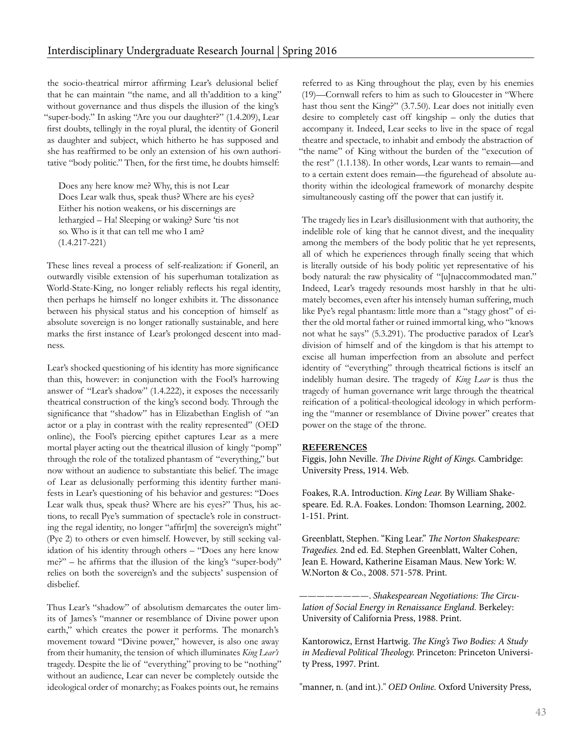the socio-theatrical mirror affrming Lear's delusional belief that he can maintain "the name, and all th'addition to a king" without governance and thus dispels the illusion of the king's "super-body." In asking "Are you our daughter?" (1.4.209), Lear frst doubts, tellingly in the royal plural, the identity of Goneril as daughter and subject, which hitherto he has supposed and she has reaffrmed to be only an extension of his own authoritative "body politic." Then, for the frst time, he doubts himself:

Does any here know me? Why, this is not Lear Does Lear walk thus, speak thus? Where are his eyes? Either his notion weakens, or his discernings are lethargied – Ha! Sleeping or waking? Sure 'tis not so. Who is it that can tell me who I am? (1.4.217-221)

These lines reveal a process of self-realization: if Goneril, an outwardly visible extension of his superhuman totalization as World-State-King, no longer reliably refects his regal identity, then perhaps he himself no longer exhibits it. The dissonance between his physical status and his conception of himself as absolute sovereign is no longer rationally sustainable, and here marks the frst instance of Lear's prolonged descent into madness.

Lear's shocked questioning of his identity has more signifcance than this, however: in conjunction with the Fool's harrowing answer of "Lear's shadow" (1.4.222), it exposes the necessarily theatrical construction of the king's second body. Through the signifcance that "shadow" has in Elizabethan English of "an actor or a play in contrast with the reality represented" (OED online), the Fool's piercing epithet captures Lear as a mere mortal player acting out the theatrical illusion of kingly "pomp" through the role of the totalized phantasm of "everything," but now without an audience to substantiate this belief. The image of Lear as delusionally performing this identity further manifests in Lear's questioning of his behavior and gestures: "Does Lear walk thus, speak thus? Where are his eyes?" Thus, his actions, to recall Pye's summation of spectacle's role in constructing the regal identity, no longer "affr[m] the sovereign's might" (Pye 2) to others or even himself. However, by still seeking validation of his identity through others – "Does any here know me?" – he affrms that the illusion of the king's "super-body" relies on both the sovereign's and the subjects' suspension of disbelief.

Thus Lear's "shadow" of absolutism demarcates the outer limits of James's "manner or resemblance of Divine power upon earth," which creates the power it performs. The monarch's movement toward "Divine power," however, is also one away from their humanity, the tension of which illuminates *King Lear's* tragedy. Despite the lie of "everything" proving to be "nothing" without an audience, Lear can never be completely outside the ideological order of monarchy; as Foakes points out, he remains

referred to as King throughout the play, even by his enemies (19)—Cornwall refers to him as such to Gloucester in "Where hast thou sent the King?" (3.7.50). Lear does not initially even desire to completely cast off kingship – only the duties that accompany it. Indeed, Lear seeks to live in the space of regal theatre and spectacle, to inhabit and embody the abstraction of "the name" of King without the burden of the "execution of the rest" (1.1.138). In other words, Lear wants to remain—and to a certain extent does remain—the fgurehead of absolute authority within the ideological framework of monarchy despite simultaneously casting off the power that can justify it.

The tragedy lies in Lear's disillusionment with that authority, the indelible role of king that he cannot divest, and the inequality among the members of the body politic that he yet represents, all of which he experiences through fnally seeing that which is literally outside of his body politic yet representative of his body natural: the raw physicality of "[u]naccommodated man." Indeed, Lear's tragedy resounds most harshly in that he ultimately becomes, even after his intensely human suffering, much like Pye's regal phantasm: little more than a "stagy ghost" of either the old mortal father or ruined immortal king, who "knows not what he says" (5.3.291). The productive paradox of Lear's division of himself and of the kingdom is that his attempt to excise all human imperfection from an absolute and perfect identity of "everything" through theatrical fctions is itself an indelibly human desire. The tragedy of *King Lear* is thus the tragedy of human governance writ large through the theatrical reifcation of a political-theological ideology in which performing the "manner or resemblance of Divine power" creates that power on the stage of the throne.

### **REFERENCES**

Figgis, John Neville. The Divine Right of Kings. Cambridge: University Press, 1914. Web.

Foakes, R.A. Introduction. King Lear. By William Shakespeare. Ed. R.A. Foakes. London: Thomson Learning, 2002. 1-151. Print.

Greenblatt, Stephen. "King Lear." The Norton Shakespeare: Tragedies. 2nd ed. Ed. Stephen Greenblatt, Walter Cohen, Jean E. Howard, Katherine Eisaman Maus. New York: W. W.Norton & Co., 2008. 571-578. Print.

--- Shakespearean Negotiations: The Circulation of Social Energy in Renaissance England. Berkeley: University of California Press, 1988. Print.

Kantorowicz, Ernst Hartwig. The King's Two Bodies: A Study in Medieval Political Theology. Princeton: Princeton University Press, 1997. Print.

"manner, n. (and int.)." OED Online. Oxford University Press,